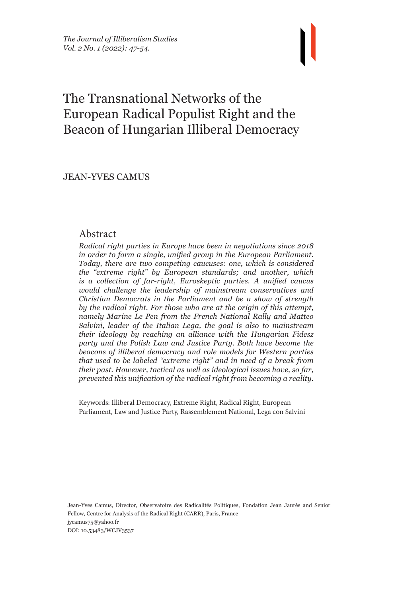# The Transnational Networks of the European Radical Populist Right and the Beacon of Hungarian Illiberal Democracy

JEAN-YVES CAMUS

## Abstract

*Radical right parties in Europe have been in negotiations since 2018 in order to form a single, unified group in the European Parliament. Today, there are two competing caucuses: one, which is considered the "extreme right" by European standards; and another, which is a collection of far-right, Euroskeptic parties. A unified caucus would challenge the leadership of mainstream conservatives and Christian Democrats in the Parliament and be a show of strength by the radical right. For those who are at the origin of this attempt, namely Marine Le Pen from the French National Rally and Matteo Salvini, leader of the Italian Lega, the goal is also to mainstream their ideology by reaching an alliance with the Hungarian Fidesz party and the Polish Law and Justice Party. Both have become the beacons of illiberal democracy and role models for Western parties that used to be labeled "extreme right" and in need of a break from their past. However, tactical as well as ideological issues have, so far, prevented this unification of the radical right from becoming a reality.*

Keywords: Illiberal Democracy, Extreme Right, Radical Right, European Parliament, Law and Justice Party, Rassemblement National, Lega con Salvini

Jean-Yves Camus, Director, Observatoire des Radicalités Politiques, Fondation Jean Jaurès and Senior Fellow, Centre for Analysis of the Radical Right (CARR), Paris, France jycamus75@yahoo.fr DOI: 10.53483/WCJV3537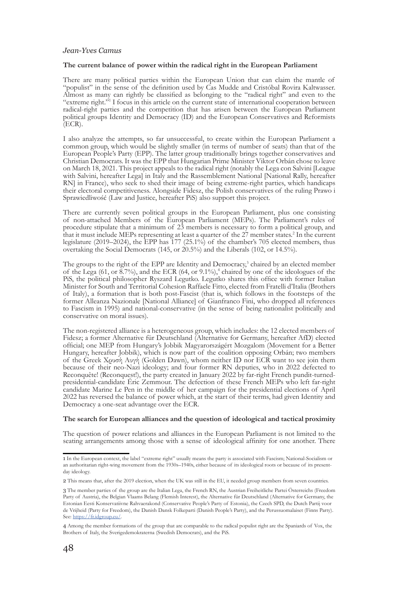#### **The current balance of power within the radical right in the European Parliament**

There are many political parties within the European Union that can claim the mantle of "populist" in the sense of the definition used by Cas Mudde and Cristóbal Rovira Kaltwasser. Almost as many can rightly be classified as belonging to the "radical right" and even to the "extreme right."<sup>1</sup> I focus in this article on the current state of international cooperation between radical-right parties and the competition that has arisen between the European Parliament political groups Identity and Democracy (ID) and the European Conservatives and Reformists  $ECR$ ).

I also analyze the attempts, so far unsuccessful, to create within the European Parliament a common group, which would be slightly smaller (in terms of number of seats) than that of the European People's Party (EPP). The latter group traditionally brings together conservatives and Christian Democrats. It was the EPP that Hungarian Prime Minister Viktor Orbán chose to leave on March 18, 2021. This project appeals to the radical right (notably the Lega con Salvini [League with Salvini, hereafter Lega] in Italy and the Rassemblement National [National Rally, hereafter RN] in France), who seek to shed their image of being extreme-right parties, which handicaps their electoral competitiveness. Alongside Fidesz, the Polish conservatives of the ruling Prawo i Sprawiedliwość (Law and Justice, hereafter PiS) also support this project.

There are currently seven political groups in the European Parliament, plus one consisting of non-attached Members of the European Parliament (MEPs). The Parliament's rules of procedure stipulate that a minimum of 23 members is necessary to form a political group, and that it must include MEPs representing at least a quarter of the 27 member states.<sup>2</sup> In the current legislature (2019–2024), the EPP has 177 (25.1%) of the chamber's 705 elected members, thus overtaking the Social Democrats (145, or 20.5%) and the Liberals (102, or 14.5%).

The groups to the right of the EPP are Identity and Democracy,<sup>3</sup> chaired by an elected member of the Lega  $(61, \text{ or } 8.7\%)$ , and the ECR  $(64, \text{ or } 9.1\%)$ , <sup>4</sup> chaired by one of the ideologues of the PiS, the political philosopher Ryszard Legutko. Legutko shares this office with former Italian Minister for South and Territorial Cohesion Raffaele Fitto, elected from Fratelli d'Italia (Brothers of Italy), a formation that is both post-Fascist (that is, which follows in the footsteps of the former Alleanza Nazionale [National Alliance] of Gianfranco Fini, who dropped all references to Fascism in 1995) and national-conservative (in the sense of being nationalist politically and conservative on moral issues).

The non-registered alliance is a heterogeneous group, which includes: the 12 elected members of Fidesz; a former Alternative für Deutschland (Alternative for Germany, hereafter AfD) elected official; one MEP from Hungary's Jobbik Magyarországért Mozgalom (Movement for a Better Hungary, hereafter Jobbik), which is now part of the coalition opposing Orbán; two members of the Greek Χρυσή Αυγή (Golden Dawn), whom neither ID nor ECR want to see join them because of their neo-Nazi ideology; and four former RN deputies, who in 2022 defected to Reconquête! (Reconquest!), the party created in January 2022 by far-right French pundit-turnedpresidential-candidate Éric Zemmour. The defection of these French MEPs who left far-right candidate Marine Le Pen in the middle of her campaign for the presidential elections of April 2022 has reversed the balance of power which, at the start of their terms, had given Identity and Democracy a one-seat advantage over the ECR.

#### **The search for European alliances and the question of ideological and tactical proximity**

The question of power relations and alliances in the European Parliament is not limited to the seating arrangements among those with a sense of ideological affinity for one another. There

<sup>1</sup> In the European context, the label "extreme right" usually means the party is associated with Fascism; National-Socialism or an authoritarian right-wing movement from the 1930s–1940s, either because of its ideological roots or because of its presentday ideology.

<sup>2</sup> This means that, after the 2019 election, when the UK was still in the EU, it needed group members from seven countries.

<sup>3</sup> The member parties of the group are the Italian Lega, the French RN, the Austrian Freiheitliche Partei Österreichs (Freedom Party of Austria), the Belgian Vlaams Belang (Flemish Interest), the Alternative für Deutschland (Alternative for Germany, the Estonian Eesti Konservatiivne Rahvaerakond (Conservative People's Party of Estonia), the Czech SPD, the Dutch Partij voor de Vrijheid (Party for Freedom), the Danish Dansk Folkeparti (Danish People's Party), and the Perussuomalaiset (Finns Party). See: https://fr.idgroup.eu/

<sup>4</sup> Among the member formations of the group that are comparable to the radical populist right are the Spaniards of Vox, the Brothers of Italy, the Sverigedemokraterna (Swedish Democrats), and the PiS.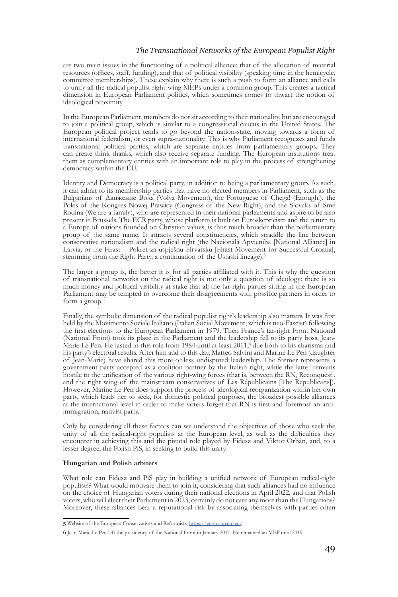#### *The Transnational Networks of the European Populist Right*

are two main issues in the functioning of a political alliance: that of the allocation of material resources (offices, staff, funding), and that of political visibility (speaking time in the hemicycle, committee memberships). These explain why there is such a push to form an alliance and calls to unify all the radical populist right-wing MEPs under a common group. This creates a tactical dimension in European Parliament politics, which sometimes comes to thwart the notion of ideological proximity.

In the European Parliament, members do not sit according to their nationality, but are encouraged to join a political group, which is similar to a congressional caucus in the United States. The European political project tends to go beyond the nation-state, moving towards a form of international federalism, or even supra-nationality. This is why Parliament recognizes and funds transnational political parties, which are separate entities from parliamentary groups. They can create think thanks, which also receive separate funding. The European institutions treat them as complementary entities with an important role to play in the process of strengthening democracy within the EU.

Identity and Democracy is a political party, in addition to being a parliamentary group. As such, it can admit to its membership parties that have no elected members in Parliament, such as the Bulgarians of Движение Воля (Volya Movement), the Portuguese of Chega! (Enough!), the Poles of the Kongres Nowej Prawicy (Congress of the New Right), and the Slovaks of Sme Rodina (We are a family), who are represented in their national parliaments and aspire to be also present in Brussels. The ECR party, whose platform is built on Euroskepticism and the return to a Europe of nations founded on Christian values, is thus much broader than the parliamentary group of the same name. It attracts several constituencies, which straddle the line between conservative nationalism and the radical right (the Nacionālā Apvienība [National Alliance] in Latvia; or the Hrast – Pokret za uspješnu Hrvatsku [Hrast-Movement for Successful Croatia], stemming from the Right Party, a continuation of the Ustashi lineage).<sup>5</sup>

The larger a group is, the better it is for all parties affiliated with it. This is why the question of transnational networks on the radical right is not only a question of ideology: there is so much money and political visibility at stake that all the far-right parties sitting in the European Parliament may be tempted to overcome their disagreements with possible partners in order to form a group.

Finally, the symbolic dimension of the radical populist right's leadership also matters. It was first held by the Movimento Sociale Italiano (Italian Social Movement, which is neo-Fascist) following the first elections to the European Parliament in 1979. Then France's far-right Front National (National Front) took its place in the Parliament and the leadership fell to its party boss, Jean-Marie Le Pen. He lasted in this role from 1984 until at least 2011,<sup>6</sup> due both to his charisma and his party's electoral results. After him and to this day, Matteo Salvini and Marine Le Pen (daughter of Jean-Marie) have shared this more-or-less undisputed leadership. The former represents a government party accepted as a coalition partner by the Italian right, while the latter remains hostile to the unification of the various right-wing forces (that is, between the RN, Reconquest!, and the right wing of the mainstream conservatives of Les Républicains [The Republicans]). However, Marine Le Pen does support the process of ideological reorganization within her own party, which leads her to seek, for domestic political purposes, the broadest possible alliances at the international level in order to make voters forget that RN is first and foremost an antiimmigration, nativist party.

Only by considering all these factors can we understand the objectives of those who seek the unity of all the radical-right populists at the European level, as well as the difficulties they encounter in achieving this and the pivotal role played by Fidesz and Viktor Orbán, and, to a lesser degree, the Polish PiS, in seeking to build this unity.

#### **Hungarian and Polish arbiters**

What role can Fidesz and PiS play in building a unified network of European radical-right populists? What would motivate them to join it, considering that such alliances had no influence on the choice of Hungarian voters during their national elections in April 2022, and that Polish voters, who will elect their Parliament in 2023, certainly do not care any more than the Hungarians? Moreover, these alliances bear a reputational risk by associating themselves with parties often

<sup>5</sup> Website of the European Conservatives and Reformists, [https://ecrgroup.eu/ecr.](https://ecrgroup.eu/ecr)

<sup>6</sup> Jean-Marie Le Pen left the presidency of the National Front in January 2011. He remained an MEP until 2019.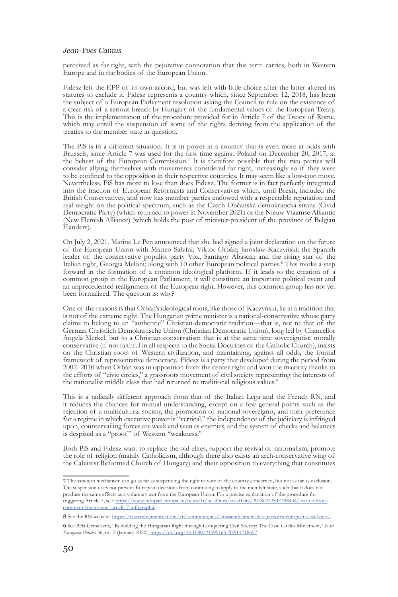perceived as far-right, with the pejorative connotation that this term carries, both in Western Europe and in the bodies of the European Union.

Fidesz left the EPP of its own accord, but was left with little choice after the latter altered its statutes to exclude it. Fidesz represents a country which, since September 12, 2018, has been the subject of a European Parliament resolution asking the Council to rule on the existence of a clear risk of a serious breach by Hungary of the fundamental values of the European Treaty. This is the implementation of the procedure provided for in Article 7 of the Treaty of Rome, which may entail the suspension of some of the rights deriving from the application of the treaties to the member state in question.

The PiS is in a different situation. It is in power in a country that is even more at odds with Brussels, since Article 7 was used for the first time against Poland on December 20, 2017, at the behest of the European Commission.7 It is therefore possible that the two parties will consider allying themselves with movements considered far-right, increasingly so if they were to be confined to the opposition in their respective countries. It may seem like a low-cost move. Nevertheless, PiS has more to lose than does Fidesz. The former is in fact perfectly integrated into the fraction of European Reformists and Conservatives which, until Brexit, included the British Conservatives, and now has member parties endowed with a respectable reputation and real weight on the political spectrum, such as the Czech Občanská demokratická strana (Civid Democratic Party) (which returned to power in November 2021) or the Nieuw Vlaamse Alliantie (New Flemish Alliance) (which holds the post of minister-president of the province of Belgian Flanders).

On July 2, 2021, Marine Le Pen announced that she had signed a joint declaration on the future of the European Union with Matteo Salvini; Viktor Orbán; Jarosław Kaczyński; the Spanish leader of the conservative populist party Vox, Santiago Abascal; and the rising star of the Italian right, Georgia Meloni; along with 10 other European political parties.8 This marks a step forward in the formation of a common ideological platform. If it leads to the creation of a common group in the European Parliament, it will constitute an important political event and an unprecedented realignment of the European right. However, this common group has not yet been formalized. The question is: why?

One of the reasons is that Orbán's ideological roots, like those of Kaczyński, lie in a tradition that is not of the extreme right. The Hungarian prime minister is a national-conservative whose party claims to belong to an "authentic" Christian-democratic tradition—that is, not to that of the German Christlich Demokratische Union (Christian Democratic Union), long led by Chancellor Angela Merkel, but to a Christian conservatism that is at the same time sovereigntist, morally conservative (if not faithful in all respects to the Social Doctrines of the Catholic Church), insists on the Christian roots of Western civilization, and maintaining, against all odds, the formal framework of representative democracy. Fidesz is a party that developed during the period from 2002–2010 when Orbán was in opposition from the center-right and won the majority thanks to the efforts of "civic circles," a grassroots movement of civil society representing the interests of the nationalist middle class that had returned to traditional religious values.<sup>9</sup>

This is a radically different approach from that of the Italian Lega and the French RN, and it reduces the chances for mutual understanding, except on a few general points such as the rejection of a multicultural society, the promotion of national sovereignty, and their preference for a regime in which executive power is "vertical," the independence of the judiciary is infringed upon, countervailing forces are weak and seen as enemies, and the system of checks and balances is despised as a "proof" of Western "weakness."

Both PiS and Fidesz want to replace the old elites, support the revival of nationalism, promote the role of religion (mainly Catholicism, although there also exists an arch-conservative wing of the Calvinist Reformed Church of Hungary) and their opposition to everything that constitutes

8 See the RN website: <https://rassemblementnational.fr/communiques/lerassemblement-des-patriotes-europeens-est-lance/>.

<sup>7</sup> The sanction mechanism can go as far as suspending the right to vote of the country concerned, but not as far as exclusion. The suspension does not prevent European decisions from continuing to apply to the member state, such that it does not produce the same effects as a voluntary exit from the European Union. For a precise explanation of the procedure for triggering Article 7, see: [https://www.europarl.europa.eu/news/fr/headlines/eu-affairs/20180222STO98434/etat-de-droit](https://www.europarl.europa.eu/news/fr/headlines/eu-affairs/20180222STO98434/etat-de-droit-comment-fonctionne%20-article-7-infographic)[comment-fonctionne -article-7-infographic](https://www.europarl.europa.eu/news/fr/headlines/eu-affairs/20180222STO98434/etat-de-droit-comment-fonctionne%20-article-7-infographic).

<sup>9</sup> See Béla Greskovits, "Rebuilding the Hungarian Right through Conquering Civil Society: The Civic Circles Movement," *East European Politics* 36, no. 2 (January 2020),<https://doi.org/10.1080/21599165.2020.1718657>.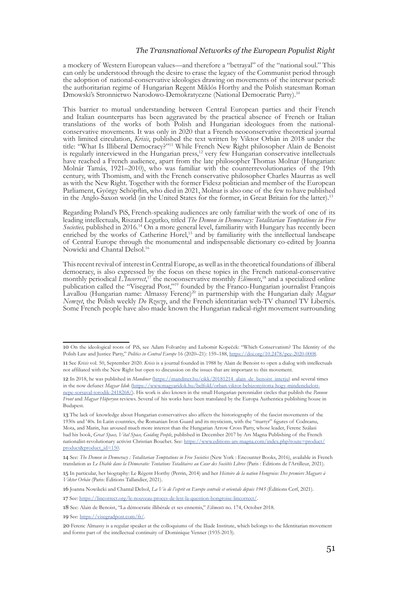#### *The Transnational Networks of the European Populist Right*

a mockery of Western European values—and therefore a "betrayal" of the "national soul." This can only be understood through the desire to erase the legacy of the Communist period through the adoption of national-conservative ideologies drawing on movements of the interwar period: the authoritarian regime of Hungarian Regent Miklós Horthy and the Polish statesman Roman Dmowski's Stronnictwo Narodowo-Demokratyczne (National Democratic Party).10

This barrier to mutual understanding between Central European parties and their French and Italian counterparts has been aggravated by the practical absence of French or Italian translations of the works of both Polish and Hungarian ideologues from the nationalconservative movements. It was only in 2020 that a French neoconservative theoretical journal with limited circulation, *Krisis*, published the text written by Viktor Orbán in 2018 under the title: "What Is Illiberal Democracy?"<sup>11</sup> While French New Right philosopher Alain de Benoist is regularly interviewed in the Hungarian press,<sup>12</sup> very few Hungarian conservative intellectuals have reached a French audience, apart from the late philosopher Thomas Molnar (Hungarian: Molnár Tamás, 1921–2010), who was familiar with the counterrevolutionaries of the 19th century, with Thomism, and with the French conservative philosopher Charles Maurras as well as with the New Right. Together with the former Fidesz politician and member of the European Parliament, György Schöpflin, who died in 2021, Molnar is also one of the few to have published in the Anglo-Saxon world (in the United States for the former, in Great Britain for the latter).13

Regarding Poland's PiS, French-speaking audiences are only familiar with the work of one of its leading intellectuals, Riszard Legutko, titled *The Demon in Democracy: Totalitarian Temptations in Free Societies,* published in 2016.14 On a more general level, familiarity with Hungary has recently been enriched by the works of Catherine Horel,15 and by familiarity with the intellectual landscape of Central Europe through the monumental and indispensable dictionary co-edited by Joanna Nowicki and Chantal Delsol.16

This recent revival of interest in Central Europe, as well as in the theoretical foundations of illiberal democracy, is also expressed by the focus on these topics in the French national-conservative monthly periodical *L'Incorrect*, 17 the neoconservative monthly *Éléments*, <sup>18</sup> and a specialized online publication called the "Visegrad Post,"19 founded by the Franco-Hungarian journalist François Lavallou (Hungarian name: Almassy Ferenc)20 in partnership with the Hungarian daily *Magyar Nemzet*, the Polish weekly *Do Rzeczy*, and the French identitarian web-TV channel TV Libertés. Some French people have also made known the Hungarian radical-right movement surrounding

16 Joanna Nowikcki and Chantal Delsol, *La Vie de l'esprit en Europe centrale et orientale depuis 1945* (Éditions Cerf, 2021).

17 See: [https://lincorrect.org/le-nouveau-proces-de-lest-la-question-hongroise-lincorrect/.](https://lincorrect.org/le-nouveau-proces-de-lest-la-question-hongroise-lincorrect/)

<sup>10</sup> On the ideological roots of PiS, see Adam Folvarčny and Lubomir Kopeček: "Which Conservatism? The Identity of the Polish Law and Justice Party," *Politics in Central Europe* 16 (2020–21): 159–188, <https://doi.org/10.2478/pce-2020-0008>.

<sup>11</sup> See *Krisis* vol. 50, September 2020. *Krisis* is a journal founded in 1988 by Alain de Benoist to open a dialog with intellectuals not affiliated with the New Right but open to discussion on the issues that are important to this movement.

<sup>12</sup> In 2018, he was published in *Mandiner* ([https://mandiner.hu/cikk/20181214\\_alain\\_de\\_benoist\\_interju](https://mandiner.hu/cikk/20181214_alain_de_benoist_interju)) and several times in the now defunct *Magyar Idok* ([https://www.magyaridok.hu/belfold/orban-viktor-bebizonyitotta-hogy-mindenekelott](https://www.magyaridok.hu/belfold/orban-viktor-bebizonyitotta-hogy-mindenekelott-nepe-sorsaval-torodik-2418268/)[nepe-sorsaval-torodik-2418268/](https://www.magyaridok.hu/belfold/orban-viktor-bebizonyitotta-hogy-mindenekelott-nepe-sorsaval-torodik-2418268/)). His work is also known in the small Hungarian perennialist circles that publish the *Pannon Front* and *Magyar Hüperyon* reviews. Several of his works have been translated by the Europa Authentica publishing house in Budapest.

<sup>13</sup> The lack of knowledge about Hungarian conservatives also affects the historiography of the fascist movements of the 1930s and '40s. In Latin countries, the Romanian Iron Guard and its mysticism, with the "martyr" figures of Codreanu, Mota, and Marin, has aroused much more interest than the Hungarian Arrow Cross Party, whose leader, Ferenc Szálasi had his book, *Great Space, Vital Space, Guiding People*, published in December 2017 by Ars Magna Publishing of the French nationalist-revolutionary activist Christian Bouchet. See: [https://www.editions-ars-magna.com/index.php?route=product/](https://www.editions-ars-magna.com/index.php?route=product/product&product_id=150) [product&product\\_id=150](https://www.editions-ars-magna.com/index.php?route=product/product&product_id=150).

<sup>14</sup> See: *The Demon in Democracy : Totalitarian Temptations in Free Societies* (New York : Encounter Books, 2016), available in French translation as *Le Diable dans la Démocratie: Tentations Totalitaires au Cœur des Sociétés Libres* (Paris : Éditions de l'Artilleur, 2021).

<sup>15</sup> In particular, her biography: Le Régent Horthy (Perrin, 2014) and her *Histoire de la nation Hongroise: Des premiers Magyars à Viktor Orbán* (Paris: Éditions Tallandier, 2021).

<sup>18</sup> See: Alain de Benoist, "La démocratie illibérale et ses ennemis," *Eléments* no. 174, October 2018.

<sup>10</sup> See: <https://visegradpost.com/fr/>.

<sup>20</sup> Ferenc Almassy is a regular speaker at the colloquiums of the Iliade Institute, which belongs to the Identitarian movement and forms part of the intellectual continuity of Dominique Venner (1935-2013).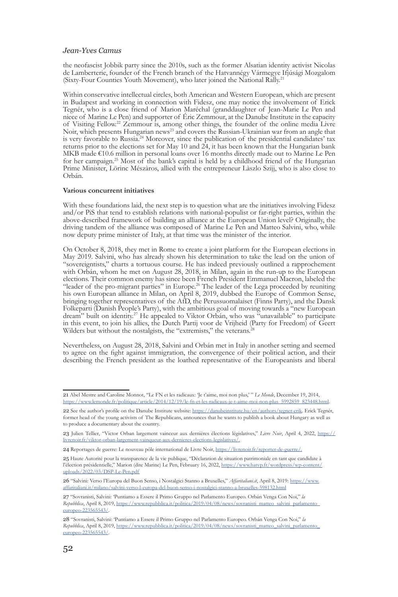the neofascist Jobbik party since the 2010s, such as the former Alsatian identity activist Nicolas de Lamberterie, founder of the French branch of the Hatvannégy Vármegye Ifjúsági Mozgalom (Sixty-Four Counties Youth Movement), who later joined the National Rally.21

Within conservative intellectual circles, both American and Western European, which are present in Budapest and working in connection with Fidesz, one may notice the involvement of Erick Tegnér, who is a close friend of Marion Maréchal (granddaughter of Jean-Marie Le Pen and niece of Marine Le Pen) and supporter of Éric Zemmour, at the Danube Institute in the capacity of Visiting Fellow.22 Zemmour is, among other things, the founder of the online media Livre Noir, which presents Hungarian news<sup>23</sup> and covers the Russian-Ukrainian war from an angle that is very favorable to Russia.<sup>24</sup> Moreover, since the publication of the presidential candidates' tax returns prior to the elections set for May 10 and  $24$ , it has been known that the Hungarian bank MKB made €10.6 million in personal loans over 16 months directly made out to Marine Le Pen for her campaign.<sup>25</sup> Most of the bank's capital is held by a childhood friend of the Hungarian Prime Minister, Lörinc Mészàros, allied with the entrepreneur Làszlo Szijj, who is also close to Orbán.

#### **Various concurrent initiatives**

With these foundations laid, the next step is to question what are the initiatives involving Fidesz and/or PiS that tend to establish relations with national-populist or far-right parties, within the above-described framework of building an alliance at the European Union level? Originally, the driving tandem of the alliance was composed of Marine Le Pen and Matteo Salvini, who, while now deputy prime minister of Italy, at that time was the minister of the interior.

On October 8, 2018, they met in Rome to create a joint platform for the European elections in May 2019. Salvini, who has already shown his determination to take the lead on the union of "sovereigntists," charts a tortuous course. He has indeed previously outlined a rapprochement with Orbán, whom he met on August 28, 2018, in Milan, again in the run-up to the European elections. Their common enemy has since been French President Emmanuel Macron, labeled the "leader of the pro-migrant parties" in Europe.<sup>26</sup> The leader of the Lega proceeded by reuniting his own European alliance in Milan, on April 8, 2019, dubbed the Europe of Common Sense, bringing together representatives of the AfD, the Perussuomalaiset (Finns Party), and the Dansk Folkeparti (Danish People's Party), with the ambitious goal of moving towards a "new European dream" built on identity.<sup>27</sup> He appealed to Viktor Orbán, who was "unavailable" to participate in this event, to join his allies, the Dutch Partij voor de Vrijheid (Party for Freedom) of Geert Wilders but without the nostalgists, the "extremists," the veterans.<sup>2</sup>

Nevertheless, on August 28, 2018, Salvini and Orbán met in Italy in another setting and seemed to agree on the fight against immigration, the convergence of their political action, and their describing the French president as the loathed representative of the Europeanists and liberal

<sup>21</sup> Abel Mestre and Caroline Monnot, "Le FN et les radicaux: 'Je t'aime, moi non plus,' " *Le Monde*, December 19, 2014, [https://www.lemonde.fr/politique/article/2014/12/19/le-fn-et-les-radicaux-je-t-aime-moi-non-plus\\_5992859\\_823448.html.](https://www.lemonde.fr/politique/article/2014/12/19/le-fn-et-les-radicaux-je-t-aime-moi-non-plus_5992859_823448.html)

<sup>22</sup> See the author's profile on the Danube Institute website: [https://danubeinstitute.hu/en/authors/tegner-erik.](https://danubeinstitute.hu/en/authors/tegner-erik) Erick Tegnér, former head of the young activists of The Republicans, announces that he wants to publish a book about Hungary as well as to produce a documentary about the country.

<sup>23</sup> Julien Tellier, "Victor Orban largement vainceur aux dernières élections législatives," *Livre Noir*, April 4, 2022, [https://](https://livrenoir.fr/viktor-orban-largement-vainqueur-aux-dernieres-elections-legislatives/) [livrenoir.fr/viktor-orban-largement-vainqueur-aux-dernieres-elections-legislatives/](https://livrenoir.fr/viktor-orban-largement-vainqueur-aux-dernieres-elections-legislatives/).

<sup>24</sup> Reportages de guerre: Le nouveau pôle international de Livre Noir, [https://livrenoir.fr/reporter-de-guerre/.](https://livrenoir.fr/reporter-de-guerre/)

<sup>25</sup> Haute Autorité pour la transparence de la vie publique, "Déclaration de situation patrimoniale en tant que candidate à l'élection présidentielle," Marion (dite Marine) Le Pen, February 16, 2022, [https://www.hatvp.fr/wordpress/wp-content/](https://www.hatvp.fr/wordpress/wp-content/uploads/2022/03/DSP-Le-Pen.pdf) [uploads/2022/03/DSP-Le-Pen.pdf](https://www.hatvp.fr/wordpress/wp-content/uploads/2022/03/DSP-Le-Pen.pdf)

<sup>26</sup> "Salvini: Verso l'Europa del Buon Senso, i Nostalgici Stanno a Bruxelles," *Affaritaliani.it*, April 8, 2019: [https://www.](https://www.affaritaliani.it/milano/salvini-verso-l-europa-del-buon-senso-i-nostalgici-stanno-a-bruxelles-598132.html) [affaritaliani.it/milano/salvini-verso-l-europa-del-buon-senso-i-nostalgici-stanno-a-bruxelles-598132.html](https://www.affaritaliani.it/milano/salvini-verso-l-europa-del-buon-senso-i-nostalgici-stanno-a-bruxelles-598132.html)

<sup>27</sup> "Sovranisti, Salvini: 'Puntiamo a Essere il Primo Gruppo nel Parlamento Europeo. Orbán Venga Con Noi," *la Repubblica*, April 8, 2019, [https://www.repubblica.it/politica/2019/04/08/news/sovranisti\\_matteo\\_salvini\\_parlamento\\_](https://www.repubblica.it/politica/2019/04/08/news/sovranisti_matteo_salvini_parlamento_europeo-223565543/) [europeo-223565543/.](https://www.repubblica.it/politica/2019/04/08/news/sovranisti_matteo_salvini_parlamento_europeo-223565543/)

<sup>28</sup> "Sovranisti, Salvini: 'Puntiamo a Essere il Primo Gruppo nel Parlamento Europeo. Orbán Venga Con Noi," *la Repubblica*, April 8, 2019, [https://www.repubblica.it/politica/2019/04/08/news/sovranisti\\_matteo\\_salvini\\_parlamento\\_](https://www.repubblica.it/politica/2019/04/08/news/sovranisti_matteo_salvini_parlamento_europeo-223565543/) [europeo-223565543/.](https://www.repubblica.it/politica/2019/04/08/news/sovranisti_matteo_salvini_parlamento_europeo-223565543/)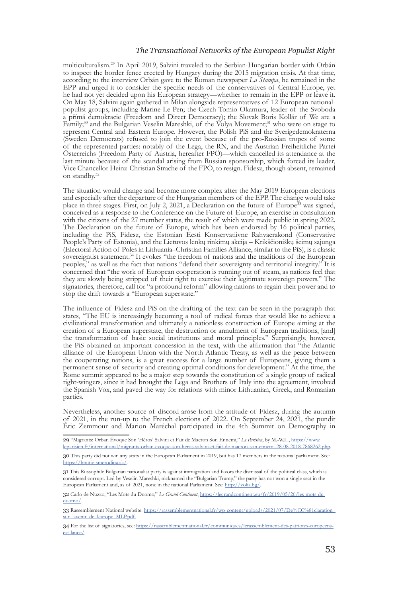#### *The Transnational Networks of the European Populist Right*

multiculturalism.29 In April 2019, Salvini traveled to the Serbian-Hungarian border with Orbán to inspect the border fence erected by Hungary during the 2015 migration crisis. At that time, according to the interview Orbán gave to the Roman newspaper *La Stampa*, he remained in the EPP and urged it to consider the specific needs of the conservatives of Central Europe, yet he had not yet decided upon his European strategy—whether to remain in the EPP or leave it. On May 18, Salvini again gathered in Milan alongside representatives of 12 European nationalpopulist groups, including Marine Le Pen; the Czech Tomio Okamura, leader of the Svoboda a přímá demokracie (Freedom and Direct Democracy); the Slovak Boris Kollár of We are a Family;<sup>30</sup> and the Bulgarian Veselin Mareshki, of the Volya Movement;<sup>31</sup> who were on stage to represent Central and Eastern Europe. However, the Polish PiS and the Sverigedemokraterna (Sweden Democrats) refused to join the event because of the pro-Russian tropes of some of the represented parties: notably of the Lega, the RN, and the Austrian Freiheitliche Partei Österreichs (Freedom Party of Austria, hereafter FPÖ)—which cancelled its attendance at the last minute because of the scandal arising from Russian sponsorship, which forced its leader, Vice Chancellor Heinz-Christian Strache of the FPÖ, to resign. Fidesz, though absent, remained on standby.32

The situation would change and become more complex after the May 2019 European elections and especially after the departure of the Hungarian members of the EPP. The change would take place in three stages. First, on July 2, 2021, a Declaration on the future of Europe<sup>33</sup> was signed, conceived as a response to the Conference on the Future of Europe, an exercise in consultation with the citizens of the 27 member states, the result of which were made public in spring 2022. The Declaration on the future of Europe, which has been endorsed by 16 political parties, including the PiS, Fidesz, the Estonian Eesti Konservatiivne Rahvaerakond (Conservative People's Party of Estonia), and the Lietuvos lenkų rinkimų akcija – Krikščioniškų šeimų sąjunga (Electoral Action of Poles in Lithuania–Christian Families Alliance, similar to the PiS), is a classic sovereigntist statement.<sup>34</sup> It evokes "the freedom of nations and the traditions of the European peoples," as well as the fact that nations "defend their sovereignty and territorial integrity." It is concerned that "the work of European cooperation is running out of steam, as nations feel that they are slowly being stripped of their right to exercise their legitimate sovereign powers." The signatories, therefore, call for "a profound reform" allowing nations to regain their power and to stop the drift towards a "European superstate."

The influence of Fidesz and PiS on the drafting of the text can be seen in the paragraph that states, "The EU is increasingly becoming a tool of radical forces that would like to achieve a civilizational transformation and ultimately a nationless construction of Europe aiming at the creation of a European superstate, the destruction or annulment of European traditions, [and] the transformation of basic social institutions and moral principles." Surprisingly, however, the PiS obtained an important concession in the text, with the affirmation that "the Atlantic alliance of the European Union with the North Atlantic Treaty, as well as the peace between the cooperating nations, is a great success for a large number of Europeans, giving them a permanent sense of security and creating optimal conditions for development." At the time, the Rome summit appeared to be a major step towards the constitution of a single group of radical right-wingers, since it had brought the Lega and Brothers of Italy into the agreement, involved the Spanish Vox, and paved the way for relations with minor Lithuanian, Greek, and Romanian parties.

Nevertheless, another source of discord arose from the attitude of Fidesz, during the autumn of 2021, in the run-up to the French elections of 2022. On September 24, 2021, the pundit Éric Zemmour and Marion Maréchal participated in the 4th Summit on Demography in

32 Carlo de Nuzzo, "Les Mots du Duomo," *Le Grand Continent*, [https://legrandcontinent.eu/fr/2019/05/20/les-mots-du](https://legrandcontinent.eu/fr/2019/05/20/les-mots-du-duomo/)[duomo/](https://legrandcontinent.eu/fr/2019/05/20/les-mots-du-duomo/).

33 Rassemblement National website: [https://rassemblementnational.fr/wp-content/uploads/2021/07/De%CC%81claration\\_](https://rassemblementnational.fr/wp-content/uploads/2021/07/De%CC%81claration_sur_lavenir_de_leurope_MLP.pdf) [sur\\_lavenir\\_de\\_leurope\\_MLP.pdf](https://rassemblementnational.fr/wp-content/uploads/2021/07/De%CC%81claration_sur_lavenir_de_leurope_MLP.pdf).

<sup>29</sup> "Migrants: Orban Évoque Son 'Héros' Salvini et Fait de Macron Son Ennemi," *Le Parisien*, by M.-W.L., [https://www.](https://www.leparisien.fr/international/migrants-orban-evoque-son-heros-salvini-et-fait-de-macron-son-ennemi-28-08-2018-7868262.php) [leparisien.fr/international/migrants-orban-evoque-son-heros-salvini-et-fait-de-macron-son-ennemi-28-08-2018-7868262.php](https://www.leparisien.fr/international/migrants-orban-evoque-son-heros-salvini-et-fait-de-macron-son-ennemi-28-08-2018-7868262.php).

<sup>30</sup> This party did not win any seats in the European Parliament in 2019, but has 17 members in the national parliament. See: [https://hnutie-smerodina.sk/.](https://hnutie-smerodina.sk/)

<sup>31</sup> This Russophile Bulgarian nationalist party is against immigration and favors the dismissal of the political class, which is considered corrupt. Led by Veselin Mareshki, nicknamed the "Bulgarian Trump," the party has not won a single seat in the European Parliament and, as of 2021, none in the national Parliament. See:<http://volia.bg/>.

<sup>34</sup> For the list of signatories, see: [https://rassemblementnational.fr/communiques/lerassemblement-des-patriotes-europeens](https://rassemblementnational.fr/communiques/lerassemblement-des-patriotes-europeens-est-lance/)[est-lance/](https://rassemblementnational.fr/communiques/lerassemblement-des-patriotes-europeens-est-lance/).